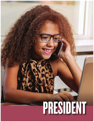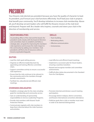# PRESIDENT

Your Kiwanis club elected you president because you have the quality of character to lead. As president, you'll ensure your club functions effectively. You'll lead your club in projects that benefit your community. You'll develop initiatives to increase club membership. Above all, you'll develop servant leaders who will fulfill the Kiwanis mission at the club level and beyond. Prepare well. Be a leader who inspires, counsels and steers your club in the direction of membership and service.

#### **RESPONSIBILITIES**

**EXAMPLE AS A SET ASSEMAGE AND ASSEMAGE AND ASSEMINATE AS A SESIGNATION AS President works close and chemominity by a presidents will find a kiwanis.org/leadersh<br>
<b>DUTIES**<br>
• Lead the club's goal-s-<br>
• Organize an effectiv As presiding officer of the club and the board, the president works closely with the board of directors and committee chairs to establish and follow a strategic plan, set goals for improving the members' club experience and increase the club's impact in the community by adding new members. Club presidents will find a list of resources online at kiwanis.org/leadershipguide.

#### **SKILLS**

- Team-building.
- Motivating others.
- Effective communication.
- Inclusiveness.

#### **DUTIES**

- Lead the club's goal-setting process.
- Organize an effective leadership team by appointing and training effective committee chairs.
- Support committee activity to ensure a successful club experience.
- Ensure that the club continues to be relevant to the community and to the members through periodic assessments.
- Facilitate fun, educational and efficient club meetings.

#### **OVERSEES/DELEGATES**

- Establish a strategic plan for the club, including goals for membership and community service.
- Gain an understanding of sponsorship responsibilities to Service Leadership Programs.
- Provide club members with Kiwanis' Youth Protection Policies.
- Communicate regularly with club members to keep them informed about the clubs' business and activities.
- Lead effective and efficient board meetings.
- Implement a succession plan for future leaders, ensuring a seamless transition.
- Reward and recognize member and committee achievements.
- Fulfill all other duties documented in the Standard Form for Club Bylaws.

- Promote interclub and division council meeting participation.
- Encourage district midyear, district convention, and Kiwanis International convention attendance.
- Publicize goals that a club or member must meet in order to be deemed distinguished.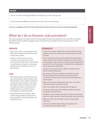#### **REVIEW**

1. Put a star next to the responsibilities and duties your club is doing well.

2. Circle the responsibilities and duties your club is not currently doing.

*If you are struggling with any of the outlined duties, please reference kiwanis.org/leadershipguide.*

### What do I do as Kiwanis club president?

Your main purpose is to help create the best possible Kiwanis club experience for your fellow members. Everything in this workbook suggests ways to lead the best possible Kiwanis club experience in the following areas:

#### **SERVICE**

- Assess your club's current projects and determine whether they still meet your community's needs.
- Conduct a community survey to see what new needs exist in your community. Then get your club involved in meeting those needs. A community analysis is best conducted in mid- to late summer.

#### **FUN**

- Plan special events at least four times a year exclusively for club members and their families. Invite a fellow member to coordinate. Ideas include: Local sports team games, dinner theater, bus trips to nearby attractions, family picnics, holiday party at a member's home, bowling day, miniature golf day.
- Foster fellowship at meetings. Ideas include: Happy Dollars, Kiwanis Kwiz trivia question, Guess the Greeter, Two Truths & One Lie.

#### **STRENGTH**

- Conduct a member satisfaction survey to find out what matters to your club. This is best conducted mid- to late summer.
- **PRESIDENT 17**<br>
PRESIDENT 17<br>
PRESIDENT 17 • Plan a Saturday-morning retreat with club leadership to review results of the member satisfaction survey and the community survey in order to set three club improvement goals for the new fiscal year. A retreat is best conducted in late August/early September.
- Contact your Kiwanis district office for help from the district membership team.
- Ensure your club has members in attendance at the Kiwanis International convention and your district convention. Discuss what was learned at each during a club program.
- Make sure that the club board meets once a month to evaluate progress toward the goals.
- Have meaningful club meetings with an agenda.
- Conduct at least one concentrated membership drive campaign during the year.
- Establish a new member orientation. If your club already does this, seek members' input on possible improvements.
- Make sure that new members receive a meaningful induction.
- Use every possible opportunity to recognize club members and honor their efforts.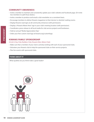#### **COMMUNITY AWARENESS**

- Invite a member to maintain and consistently update your club's website and Facebook page. (Or invite two members to split those duties.)
- Invite a member to produce and email a club newsletter on a consistent basis.
- Encourage members to deliver Kiwanis magazines to their doctors' or dentists' waiting rooms.
- Display Kiwanis road signs at all community entrances (with permission).
- Display a "Kiwanis Meets Here" sign in your club's meeting location (with permission).
- Coordinate a press release to all local media for club service projects and fundraisers.
- Hold an annual "Media Appreciation Day."
- Order your free custom club logo at kiwanis.org/customlogo.

#### **KIWANIS FAMILY SPONSORSHIP**

#### (Circle K, Key Club, Builders Club, Kiwanis Kids, Aktion Club)

- Make sure that a member of your club is actively working with each of your sponsored clubs.
- Volunteer your Kiwanis club to help the sponsored clubs on their service projects.
- Plan fun events with sponsored clubs.

#### **THINK ABOUT IT**

What qualities do you think make a great leader?

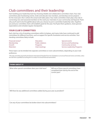## Club committees and their leadership

Start building your leadership team by choosing reliable and collaborative committee chairs. Your club committees plan fundraising events, invite and educate new members, and develop service projects for the most part, this is where the actual work takes place. Your club's committee chairs play a key role in connecting new and seasoned members to the work your club does in your community and beyond. That's why you'll want to be thoughtful about who you choose to put in committee leadership roles. Together you and your committee chairs will establish goals for the year. You'll give them guidance, share general expectations and schedule regular checkpoints.

#### **YOUR CLUB'S COMMITTEES**

| <b>YOUR CLUB'S COMMITTEES</b>                          |                                                                                         |                                                                                                                                                                                                                                               |
|--------------------------------------------------------|-----------------------------------------------------------------------------------------|-----------------------------------------------------------------------------------------------------------------------------------------------------------------------------------------------------------------------------------------------|
| standing committees likely include:                    |                                                                                         | Each club has a list of standing committees within its bylaws, and many clubs have continued to add<br>committees for different functions, such as support for specific fundraisers and service activities. Your                              |
| Financial review*<br>Membership<br>Growth<br>Retention | <b>Education</b><br><b>Public relations</b><br>Programs<br>Club meetings                | <b>Special events</b><br>Service and fundraising<br><b>Community services</b><br><b>Service Leadership Programs</b>                                                                                                                           |
| preference.                                            | the club hires a qualified accounting firm to conduct its annual financial examination. | These topics can be divided into separate committees or even subcommittees, depending on your club<br>*The only committee required by the Kiwanis International Standard Form for Club Bylaws is an annual financial review committee, unless |
| <b>THINK ABOUT IT</b>                                  |                                                                                         |                                                                                                                                                                                                                                               |
| What other special committees does your club have?     |                                                                                         | Will any of these special committees have<br>completed their task by the end of the<br>current year?                                                                                                                                          |
|                                                        | Will there be any additional committees added during your year as president?            |                                                                                                                                                                                                                                               |
|                                                        | Can any of your committees be broken down into subcommittees?                           |                                                                                                                                                                                                                                               |
|                                                        |                                                                                         | <b>PRESIDENT</b>                                                                                                                                                                                                                              |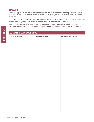#### **TIMELINE**

By July 15, appoint all committee chairs. Report your public relations and membership committee chairs to Kiwanis International via the secretary dashboard. By August 1, chairs need to select members for each committee.

During August, committees will meet to review materials, goals and timelines. They'll form project schedules and submit a budget proposal for board consideration before the end of September.

If a community analysis is part of your plan, schedule the service and fundraising committee to conduct and complete it by October 1. Consider using the **Rediscovering your community** tool at kiwanis.org/ACEtools.

| <b>Current leader</b> | <b>Term end date</b> | <b>Possible successor</b> |
|-----------------------|----------------------|---------------------------|
|                       |                      |                           |
|                       |                      |                           |
|                       |                      |                           |
|                       |                      |                           |
|                       |                      |                           |
|                       |                      |                           |
|                       |                      |                           |
|                       |                      |                           |
|                       |                      |                           |
|                       |                      |                           |
|                       |                      |                           |
|                       |                      |                           |
|                       |                      |                           |
|                       |                      |                           |
|                       |                      |                           |
|                       |                      |                           |
|                       |                      |                           |
|                       |                      |                           |
|                       |                      |                           |
|                       |                      |                           |
|                       |                      |                           |
|                       |                      |                           |
|                       |                      |                           |
|                       |                      |                           |
|                       |                      |                           |
|                       |                      |                           |
|                       |                      |                           |
|                       |                      |                           |
|                       |                      |                           |
|                       |                      |                           |
|                       |                      |                           |
|                       |                      |                           |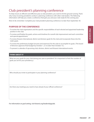# Club president's planning conference

To help ensure an efficient and effective year as club president, you want to hit the ground running. That's why many incoming presidents conduct a planning conference with other club leaders. The following information will help you create a conference that gets you and your club ready for the coming year.

Most of all, remember: Complete your club president planning conference no later than September 30.

#### **PURPOSE OF THE CONFERENCE**

- To review the club organization and the specific responsibilities of each elected and appointed leadership position in the club.
- To review and finalize the goals, actions and timelines for overall club improvement and each committee and special appointment.
- To review Kiwanis International, district and division goals for the club and incorporate these into the club's goals.
- To review the preliminary budget (income and expenses) for the club to accomplish its goals. (The board of directors approves final budget by October 1, or no later than October 15.)
- To present a calendar of upcoming club, division, district and Kiwanis International events.

#### **THINK ABOUT IT**

What are your goals for your club during your year as president? (It is important to limit the number of goals you set for your presidency.)

Who should you invite to participate in your planning conference?

Are there any meetings you need to have ahead of your official conference?

*For information on goal setting, visit kiwanis.org/leadershipguide.*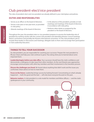### Club president-elect/vice president

The roles of president-elect and vice president are already defined in your club bylaws and policies.

#### **DUTIES AND RESPONSIBILITIES**

- Serves as an officer on the board of directors.
- Serves a one-year or two-year term, as provided in club policy.
- Attends meetings of the board of directors.
- In the absence of the president, presides at club meetings and meetings of the board of directors, in accordance with club policy.
- Performs other duties as assigned by the president or the board of directors.

• Attends meetings of<br>
Throughout the year, tl<br>
president by working c<br>
district conventions and<br>
in Club Leadership Edu<br> **22 THINGS TO TEL**<br>
As club president, yo<br>
fill your shoes and he<br>
important facts:<br> **Leadership** Throughout the year, the president-elect or vice president prepares to assume the leadership role of president by working closely with the current club president and attending division council meetings, district conventions and possibly the Kiwanis International convention. It's the club president's job to include these leaders in discussions and meetings, delegate tasks to them and encourage their participation in Club Leadership Education.

#### **THINGS TO TELL YOUR SUCCESSOR**

As club president, you are responsible for coaching your successor. Prepare the next president to fill your shoes and help your club continue to grow. Pass along what you've learned about some important facts:

**Leadership begins before you take office.** Your successor should have the club's confidence and demonstrate a willingness to take input from other members. As the next Kiwanis year approaches, encourage communication with other key members and their involvement in the transition process.

**Discuss the challenges you faced.** Be honest about anything that didn't work and the issues you confronted. Share advice on how to meet them.

Focus on the future. Leadership brings success by looking forward. Concentrating on what's already happened — both the good and the bad — will only leave everyone focused on the past.

**Behavior matters.** A club president is a role model for members and fellow officers — and the club's spokesperson in your community.

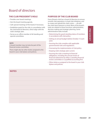# Board of directors

#### **THE CLUB PRESIDENT'S ROLE**

- Presides over board meetings.
- Sets the board meeting agenda.
- Calls special meetings of the board, if necessary.
- Establishes goals for the club, in consultation with the club board of directors, which align with the club's strategic plan.
- Serves as ex-officio member of all standing and special committees.

#### **NOTE**

A board member may not also be part of the financial review committee.

There might also be other duties assigned to the board in your club bylaws and policies.

#### **PURPOSE OF THE CLUB BOARD**

Every Kiwanis club has a board of directors to ensure smooth club operations, to lead club initiatives, and to create and uphold the club's vision — all with the club's best interests in mind. Most of the board's tasks are related to these functions: administration, decision making and strategic planning. Some administrative tasks include:

- Determining the good-standing status of members in accordance with club policy.
- Setting an annual budget (before October 15 each year).
- Assuring the club complies with applicable governmental rules and regulations.
- Overseeing the implementation of club policy.
- Keeping club's strategic plan current.
- Assuring the club is meeting its financial obligations, including the annual review of financial statements by either a standing financial review committee or a qualified accounting firm.
- Other duties as assigned to the board in your club bylaws and policies.

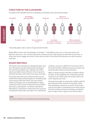#### **STRUCTURE OF THE CLUB BOARD**

As stated in the Standard Form for Club Bylaws and Policies, the club board includes:



\*Generally applies only to clubs in Europe and Asia-Pacific.

Board officers' terms vary, but all begin on October 1. Club officers serve one- or two-year terms, and directors serve one-, two- or three-year terms. However, if your club chooses to elect directors for two- or three-year terms, stagger the terms so that only one-half or one-third of the directors are up for election each year.

#### **BOARD MEETINGS**

The board meets regularly at a designated place and time. The board may also hold special meetings at the call of the president via a majority vote of the board, provided at least 48 hours' notice is given to all board members of the date, time, place and topic.

The board may meet and conduct business by any method that allows all participants to simultaneously communicate with each other. This may include online technology such as GoToMeeting or Skype, conference calls or email. However the conversation takes place, participation constitutes attendance. Attendance is important to determine that a quorum was present if any action was taken. For a club board

meeting, a quorum is defined as more than half of the board members. Without a quorum present, the board should not take any formal action.

When in doubt, Kiwanis will refer to "Robert's Rules of Order" as the guidelines for conducting a board meeting. If any verbal votes are unclear, hold a roll call to capture each vote.

The board may take no action that conflicts with the best interests of the club and its members. Other than disciplinary measures, an action of the board may be rescinded or amended by two-thirds vote of the club members present and voting, provided at least 14 days' notice is given to all club members.

**NOTE** Any club member can voluntarily attend board meetings.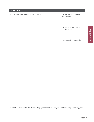| Draft an agenda for your ideal board meeting. | Did you check if a quorum<br>was present?          |
|-----------------------------------------------|----------------------------------------------------|
|                                               | Did the secretary give a report?<br>The treasurer? |
|                                               | How formal is your agenda?                         |
|                                               |                                                    |
|                                               |                                                    |
|                                               |                                                    |
|                                               |                                                    |
|                                               |                                                    |
|                                               |                                                    |

PRESIDENT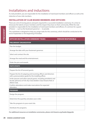### Installations and inductions

As club president, you are responsible for the installation of club board members and officers as well as the induction of new club members.

#### **INSTALLATION OF CLUB BOARD MEMBERS AND OFFICERS**

There are a lot of moving pieces and parts required for a successful installation ceremony. It's a time to showcase the talents of your members and the impact they have on their community. While the club president is responsible for the installation of club board members and officers, it's common for a guest of honor — such as the lieutenant governor — to preside.

| <b>OFFICER INSTALLATION CEREMONY TASKS</b>                                                                                                               | <b>PERSON RESPONSIBLE</b> |
|----------------------------------------------------------------------------------------------------------------------------------------------------------|---------------------------|
| PRELIMINARY ORGANIZATION                                                                                                                                 |                           |
| Plan the budget.                                                                                                                                         |                           |
| Arrange the date with your lieutenant governor.                                                                                                          |                           |
| Select and contract the site.                                                                                                                            |                           |
| Arrange the meal and the entertainment.                                                                                                                  |                           |
| Order the pins and awards.                                                                                                                               |                           |
| <b>PARTICIPANTS</b>                                                                                                                                      |                           |
| Prepare the list of honored quests.                                                                                                                      |                           |
| Prepare the list of outgoing and incoming officers and directors<br>with a pronunciation guide for the installing officer.                               |                           |
| Invite spouses and other special guests, including presidents and<br>faculty advisor(s) of CKI, Key Club, Builders Club, Kiwanis Kids or<br>Aktion Club. |                           |
| Confirm attendance and make reservations for expected<br>attendees.                                                                                      |                           |
| <b>PROGRAMS</b>                                                                                                                                          |                           |
| Design the program.                                                                                                                                      |                           |
| Determine the quantity and place your order.                                                                                                             |                           |
| Take the programs to your event site.                                                                                                                    |                           |
| Distribute the programs.                                                                                                                                 |                           |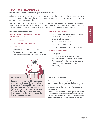#### **INDUCTION OF NEW MEMBERS**

New members need to feel valued and appreciated from day one.

Within the first two weeks (if at all possible), complete a new-member orientation. This is an opportunity to provide your new members with a better understanding of your Kiwanis club. And it's a way for your club to learn about their interests and skills.

A new member orientation PowerPoint is available as a downloadable resource that includes a suggested script and ways to personalize it to reflect your club information. It's best to begin new member orientation before a member joins so they understand the vision of the club and responsibilities of membership.

New-member orientation includes:

- An overview of the defining statement and the Six Objects of Kiwanis.
- Member expectations.
- Benefits of Kiwanis club membership.
- My Kiwanis club:
	- Service project and fundraising plans.
	- The club's role in the division and district.
	- Club committees and how to become involved.

### **Mentoring**

By pairing new members with mentors, you give them a go-to person for any questions and a familiar face to sit with at meetings until they feel comfortable. Their mentors may be their sponsors or someone they just met. Mentors can help new members transition into the club by finding ways to connect their interests with club activities.

- Kiwanis beyond your club:
	- The structure of Kiwanis at the club, division, district and international levels.
	- **\* Service Leadership Programs.**
	- Kiwanis-branded programs.
	- The Kiwanis Children's Fund.
	- District and Kiwanis International conventions.
- Standard club operations:
	- Club bylaws.
	- How club business is handled (e.g., what members vote on, how elections are handled).
	- The function of the club's board of directors.
	- Finance and budget (including what dues cover).

#### **Induction ceremony**

The induction of new members is a memorable experience that helps them feel like they're a part of something important. When you invest in their induction, you let them know they're valued and appreciated.

**PRESIDENT 27**<br> **PRESIDENT 27**<br> **PRESIDENT 27**<br> **PRESIDENT 27** Some clubs have a formal — or maybe even unique — tradition for welcoming new members. However you do it, make sure it happens. And make sure that it's timely and reflects your club's style and spirit.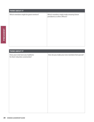| Which members might be great mentors? | Which members might make amazing future<br>presidents or other officers? |
|---------------------------------------|--------------------------------------------------------------------------|
|                                       |                                                                          |
|                                       |                                                                          |
|                                       |                                                                          |
|                                       |                                                                          |
|                                       |                                                                          |
|                                       |                                                                          |
|                                       |                                                                          |
|                                       |                                                                          |
|                                       |                                                                          |
|                                       |                                                                          |
|                                       |                                                                          |

| <b>THINK ABOUT IT</b>                                                 |                                                |
|-----------------------------------------------------------------------|------------------------------------------------|
| Does your club have any traditions<br>for their induction ceremonies? | How do you make your new members feel special? |
|                                                                       |                                                |
|                                                                       |                                                |
|                                                                       |                                                |
|                                                                       |                                                |
|                                                                       |                                                |
|                                                                       |                                                |
|                                                                       |                                                |
|                                                                       |                                                |
|                                                                       |                                                |
|                                                                       |                                                |
|                                                                       |                                                |
|                                                                       |                                                |
|                                                                       |                                                |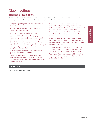# Club meetings

#### **THE BEST SHOW IN TOWN**

As president, you set the tone for your club. These guidelines are here to help. Remember, you don't have to do every task yourself, but it's important to make sure everything's covered.

- Designate specific people to greet members as they arrive.
- Put out flags, banner, bell, gavel, name badges, lectern and guest badges.
- Check audiovisual aids before the meeting.
- Seat any visiting Kiwanis leaders (e.g., governor, lieutenant governor, etc.) in a prominent location and recognize them once during the meeting; they don't need to be recognized by each program participant. If your club has invited the governor or lieutenant governor, assume all expenses (with the exception of transportation).
- Make complementary meal arrangements for guests in advance, if applicable.
- Develop a standard time agenda, designate who will have the floor for each action, brief all participants on their roles and begin and end the meeting on time.
- shed<br>pers<br>ge for<br>st<br>ou'll n turn,<br>ing<br>ves of<br>sts.<br>hts of<br>anks<br>**PRESIDENT** 29 • Traditionally, members rise and applaud when their lieutenant governor or governor, a member of the Kiwanis International board, a past president of Kiwanis International or another distinguished Kiwanian is introduced. Let a few club members know this in advance so they can set the stage for the club.
- When both the district governor and the host lieutenant governor are at a club meeting, you'll introduce the lieutenant governor — who, in turn, introduces the governor.
- Introduce delegations from other clubs, visiting Kiwanians, potential members, representatives of Service Leadership Programs and other guests.
- At every meeting, recognize the achievements of members and committees — and express thanks on behalf of the club.

#### **THINK ABOUT IT**

What makes your club unique?